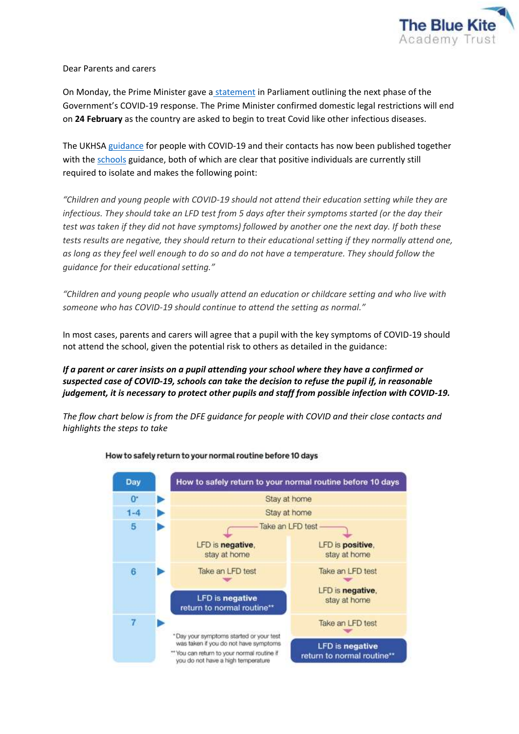

Dear Parents and carers

On Monday, the Prime Minister gave a [statement](https://www.gov.uk/government/speeches/pm-statement-on-living-with-covid-21-february-2022) in Parliament outlining the next phase of the Government's COVID-19 response. The Prime Minister confirmed domestic legal restrictions will end on **24 February** as the country are asked to begin to treat Covid like other infectious diseases.

The UKHS[A guidance](https://www.gov.uk/government/publications/covid-19-people-with-covid-19-and-their-contacts) for people with COVID-19 and their contacts has now been published together with the [schools](https://www.gov.uk/government/publications/actions-for-schools-during-the-coronavirus-outbreak?utm_medium=email&utm_campaign=govuk-notifications-topic&utm_source=9ab0476c-e936-4e4e-a5e3-99ba5233680a&utm_content=immediately) guidance, both of which are clear that positive individuals are currently still required to isolate and makes the following point:

*"Children and young people with COVID-19 should not attend their education setting while they are infectious. They should take an LFD test from 5 days after their symptoms started (or the day their test was taken if they did not have symptoms) followed by another one the next day. If both these tests results are negative, they should return to their educational setting if they normally attend one, as long as they feel well enough to do so and do not have a temperature. They should follow the guidance for their educational setting."*

*"Children and young people who usually attend an education or childcare setting and who live with someone who has COVID-19 should continue to attend the setting as normal."*

In most cases, parents and carers will agree that a pupil with the key symptoms of COVID-19 should not attend the school, given the potential risk to others as detailed in the guidance:

*If a parent or carer insists on a pupil attending your school where they have a confirmed or suspected case of COVID-19, schools can take the decision to refuse the pupil if, in reasonable judgement, it is necessary to protect other pupils and staff from possible infection with COVID-19.*

*The flow chart below is from the DFE guidance for people with COVID and their close contacts and highlights the steps to take*



## How to safely return to your normal routine before 10 days